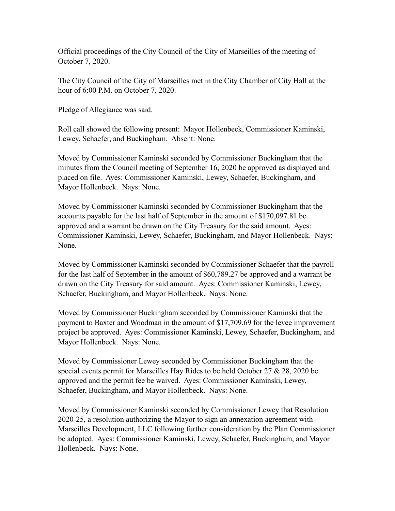Official proceedings of the City Council of the City of Marseilles of the meeting of October 7, 2020.

The City Council of the City of Marseilles met in the City Chamber of City Hall at the hour of 6:00 P.M. on October 7, 2020.

Pledge of Allegiance was said.

Roll call showed the following present: Mayor Hollenbeck, Commissioner Kaminski, Lewey, Schaefer, and Buckingham. Absent: None.

Moved by Commissioner Kaminski seconded by Commissioner Buckingham that the minutes from the Council meeting of September 16, 2020 be approved as displayed and placed on file. Ayes: Commissioner Kaminski, Lewey, Schaefer, Buckingham, and Mayor Hollenbeck. Nays: None.

Moved by Commissioner Kaminski seconded by Commissioner Buckingham that the accounts payable for the last half of September in the amount of \$170,097.81 be approved and a warrant be drawn on the City Treasury for the said amount. Ayes: Commissioner Kaminski, Lewey, Schaefer, Buckingham, and Mayor Hollenbeck. Nays: None.

Moved by Commissioner Kaminski seconded by Commissioner Schaefer that the payroll for the last half of September in the amount of \$60,789.27 be approved and a warrant be drawn on the City Treasury for said amount. Ayes: Commissioner Kaminski, Lewey, Schaefer, Buckingham, and Mayor Hollenbeck. Nays: None.

Moved by Commissioner Buckingham seconded by Commissioner Kaminski that the payment to Baxter and Woodman in the amount of \$17,709.69 for the levee improvement project be approved. Ayes: Commissioner Kaminski, Lewey, Schaefer, Buckingham, and Mayor Hollenbeck. Nays: None.

Moved by Commissioner Lewey seconded by Commissioner Buckingham that the special events permit for Marseilles Hay Rides to be held October 27 & 28, 2020 be approved and the permit fee be waived. Ayes: Commissioner Kaminski, Lewey, Schaefer, Buckingham, and Mayor Hollenbeck. Nays: None.

Moved by Commissioner Kaminski seconded by Commissioner Lewey that Resolution 2020-25, a resolution authorizing the Mayor to sign an annexation agreement with Marseilles Development, LLC following further consideration by the Plan Commissioner be adopted. Ayes: Commissioner Kaminski, Lewey, Schaefer, Buckingham, and Mayor Hollenbeck. Nays: None.